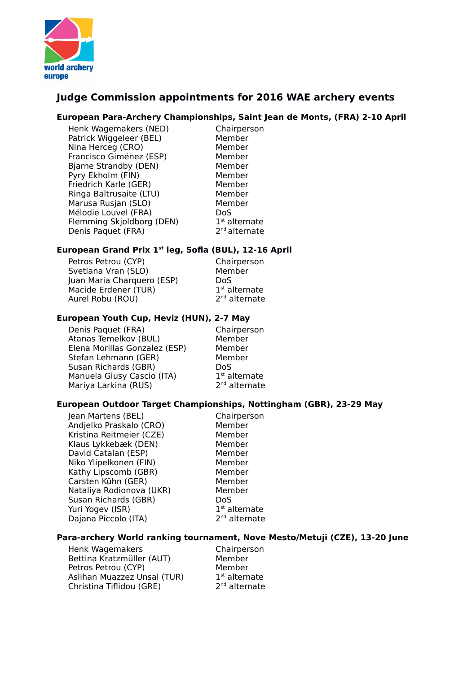

# **Judge Commission appointments for 2016 WAE archery events**

#### **European Para-Archery Championships, Saint Jean de Monts, (FRA) 2-10 April**

Henk Wagemakers (NED) Chairperson Patrick Wiggeleer (BEL) Member Nina Herceg (CRO) Member Francisco Giménez (ESP) Member Bjarne Strandby (DEN) Member Pyry Ekholm (FIN) Member Friedrich Karle (GER) Member Ringa Baltrusaite (LTU) Member Marusa Rusian (SLO) Member Mélodie Louvel (FRA) DoS Flemming Skjoldborg (DEN) 1 Denis Paquet (FRA) 2

 $1<sup>st</sup>$  alternate  $2<sup>nd</sup>$  alternate

# **European Grand Prix 1st leg, Sofia (BUL), 12-16 April**

Petros Petrou (CYP) Chairperson Svetlana Vran (SLO) Member Juan Maria Charquero (ESP) DoS Macide Erdener (TUR) 1 Aurel Robu (ROU) 2

 $1<sup>st</sup>$  alternate  $2<sup>nd</sup>$  alternate

# **European Youth Cup, Heviz (HUN), 2-7 May**

Denis Paquet (FRA) Chairperson Atanas Temelkov (BUL) Member Elena Morillas Gonzalez (ESP) Member Stefan Lehmann (GER) Member Susan Richards (GBR) DoS Manuela Giusy Cascio (ITA) 1 Mariya Larkina (RUS) 2

 $1<sup>st</sup>$  alternate  $2<sup>nd</sup>$  alternate

# **European Outdoor Target Championships, Nottingham (GBR), 23-29 May**

Jean Martens (BEL) Chairperson Andjelko Praskalo (CRO) Member Kristina Reitmeier (CZE) Member Klaus Lykkebæk (DEN) Member David Catalan (ESP) Member Niko Ylipelkonen (FIN) Member Kathy Lipscomb (GBR) Member Carsten Kühn (GER) Member Nataliya Rodionova (UKR) Member Susan Richards (GBR) DoS Yuri Yogev (ISR) 1 Dajana Piccolo (ITA) 2

 $1<sup>st</sup>$  alternate  $2<sup>nd</sup>$  alternate

# **Para-archery World ranking tournament, Nove Mesto/Metuji (CZE), 13-20 June**

Henk Wagemakers **Chairperson** Bettina Kratzmüller (AUT) Member Petros Petrou (CYP) Member Aslihan Muazzez Unsal (TUR) 1 Christina Tiflidou (GRE) 2

 $1<sup>st</sup>$  alternate  $2<sup>nd</sup>$  alternate